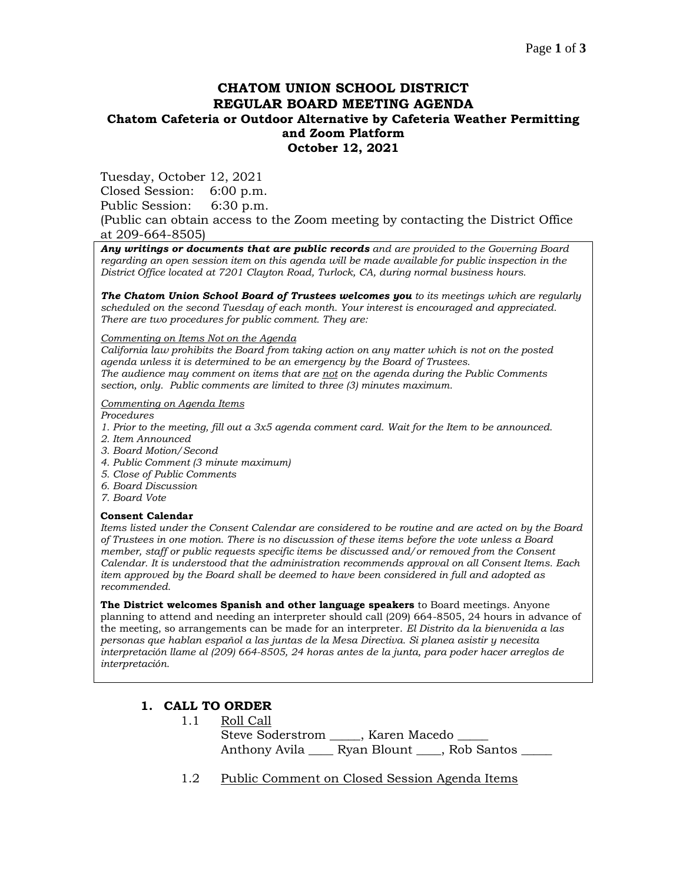# **CHATOM UNION SCHOOL DISTRICT REGULAR BOARD MEETING AGENDA Chatom Cafeteria or Outdoor Alternative by Cafeteria Weather Permitting and Zoom Platform October 12, 2021**

Tuesday, October 12, 2021

Closed Session: 6:00 p.m.

Public Session: 6:30 p.m.

(Public can obtain access to the Zoom meeting by contacting the District Office at 209-664-8505)

*Any writings or documents that are public records and are provided to the Governing Board regarding an open session item on this agenda will be made available for public inspection in the District Office located at 7201 Clayton Road, Turlock, CA, during normal business hours.*

*The Chatom Union School Board of Trustees welcomes you to its meetings which are regularly scheduled on the second Tuesday of each month. Your interest is encouraged and appreciated. There are two procedures for public comment. They are:*

*Commenting on Items Not on the Agenda*

*California law prohibits the Board from taking action on any matter which is not on the posted agenda unless it is determined to be an emergency by the Board of Trustees. The audience may comment on items that are not on the agenda during the Public Comments section, only. Public comments are limited to three (3) minutes maximum.*

#### *Commenting on Agenda Items*

*Procedures* 

- *1. Prior to the meeting, fill out a 3x5 agenda comment card. Wait for the Item to be announced.*
- *2. Item Announced*
- *3. Board Motion/Second*
- *4. Public Comment (3 minute maximum)*
- *5. Close of Public Comments*
- *6. Board Discussion*
- *7. Board Vote*

#### **Consent Calendar**

*Items listed under the Consent Calendar are considered to be routine and are acted on by the Board of Trustees in one motion. There is no discussion of these items before the vote unless a Board member, staff or public requests specific items be discussed and/or removed from the Consent Calendar. It is understood that the administration recommends approval on all Consent Items. Each item approved by the Board shall be deemed to have been considered in full and adopted as recommended.*

**The District welcomes Spanish and other language speakers** to Board meetings. Anyone planning to attend and needing an interpreter should call (209) 664-8505, 24 hours in advance of the meeting, so arrangements can be made for an interpreter. *El Distrito da la bienvenida a las personas que hablan español a las juntas de la Mesa Directiva. Si planea asistir y necesita interpretación llame al (209) 664-8505, 24 horas antes de la junta, para poder hacer arreglos de interpretación.*

## **1. CALL TO ORDER**

- 1.1 Roll Call Steve Soderstrom \_\_\_\_\_, Karen Macedo \_\_\_\_\_ Anthony Avila \_\_\_\_ Ryan Blount \_\_\_\_, Rob Santos
- 1.2 Public Comment on Closed Session Agenda Items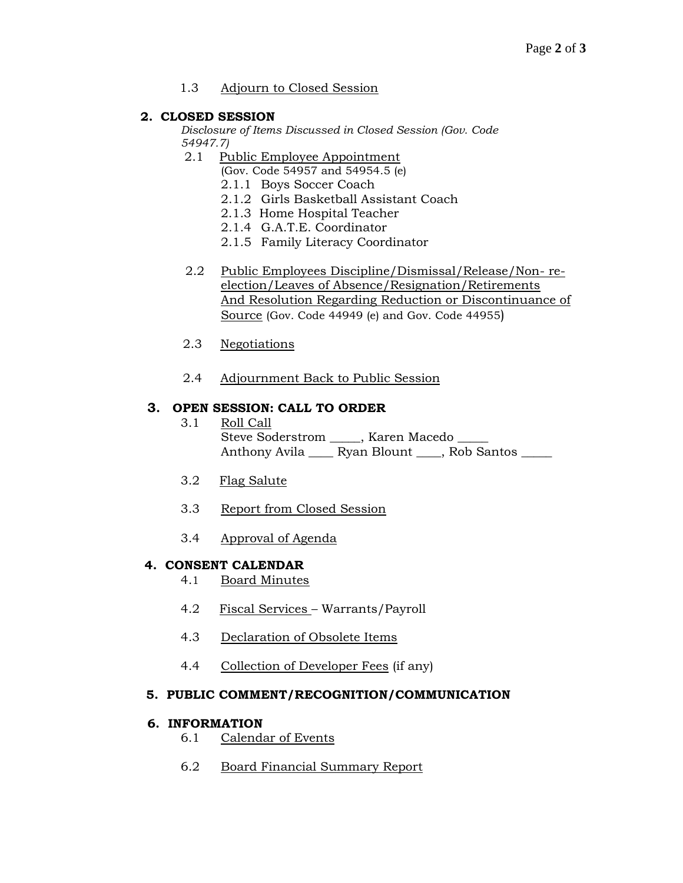## 1.3 Adjourn to Closed Session

# **2. CLOSED SESSION**

*Disclosure of Items Discussed in Closed Session (Gov. Code 54947.7)*

- 2.1 Public Employee Appointment
	- (Gov. Code 54957 and 54954.5 (e)
		- 2.1.1 Boys Soccer Coach
		- 2.1.2 Girls Basketball Assistant Coach
		- 2.1.3 Home Hospital Teacher
		- 2.1.4 G.A.T.E. Coordinator
		- 2.1.5 Family Literacy Coordinator
- 2.2 Public Employees Discipline/Dismissal/Release/Non- reelection/Leaves of Absence/Resignation/Retirements And Resolution Regarding Reduction or Discontinuance of Source (Gov. Code 44949 (e) and Gov. Code 44955)
- 2.3 Negotiations
- 2.4 Adjournment Back to Public Session

## **3. OPEN SESSION: CALL TO ORDER**

- 3.1 Roll Call Steve Soderstrom \_\_\_\_\_, Karen Macedo \_ Anthony Avila \_\_\_\_ Ryan Blount \_\_\_\_, Rob Santos \_\_\_\_\_
- 3.2 Flag Salute
- 3.3 Report from Closed Session
- 3.4 Approval of Agenda

## **4. CONSENT CALENDAR**

- 4.1 Board Minutes
- 4.2 Fiscal Services Warrants/Payroll
- 4.3 Declaration of Obsolete Items
- 4.4 Collection of Developer Fees (if any)

## **5. PUBLIC COMMENT/RECOGNITION/COMMUNICATION**

## **6. INFORMATION**

- 6.1 Calendar of Events
- 6.2 Board Financial Summary Report